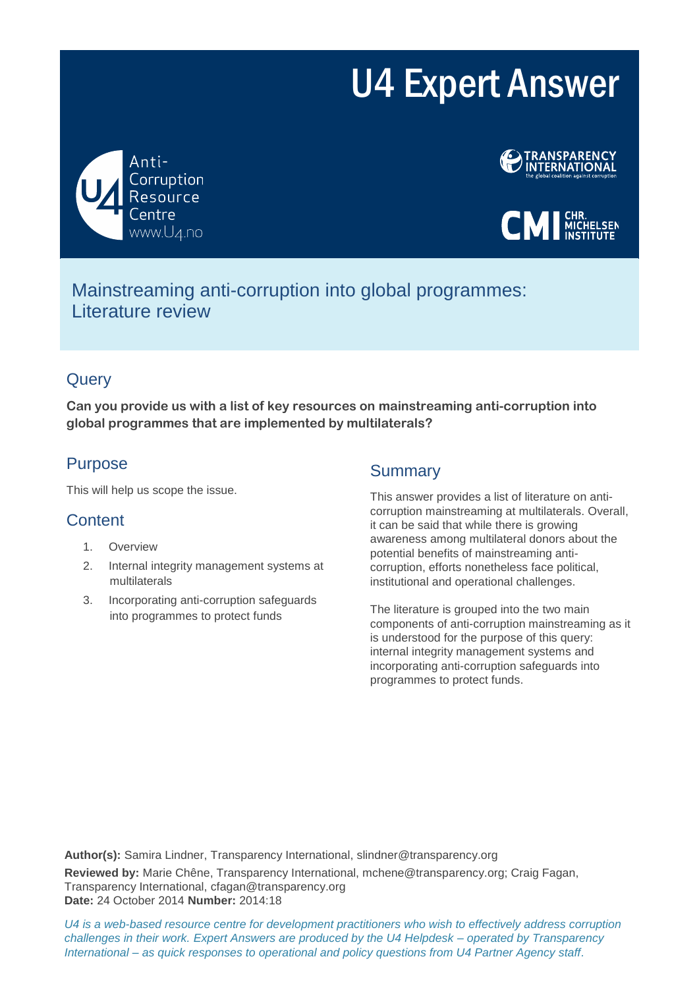# U4 Expert Answer







Mainstreaming anti-corruption into global programmes: Literature review

# **Query**

**Can you provide us with a list of key resources on mainstreaming anti-corruption into global programmes that are implemented by multilaterals?** 

# Purpose

This will help us scope the issue.

# **Content**

- 1. Overview
- 2. Internal integrity management systems at multilaterals
- 3. Incorporating anti-corruption safeguards into programmes to protect funds

# Summary

This answer provides a list of literature on anticorruption mainstreaming at multilaterals. Overall, it can be said that while there is growing awareness among multilateral donors about the potential benefits of mainstreaming anticorruption, efforts nonetheless face political, institutional and operational challenges.

The literature is grouped into the two main components of anti-corruption mainstreaming as it is understood for the purpose of this query: internal integrity management systems and incorporating anti-corruption safeguards into programmes to protect funds.

**Author(s):** Samira Lindner, Transparency International, slindner@transparency.org **Reviewed by:** Marie Chêne, Transparency International, mchene@transparency.org; Craig Fagan, Transparency International, cfagan@transparency.org **Date:** 24 October 2014 **Number:** 2014:18

*U4 is a web-based resource centre for development practitioners who wish to effectively address corruption challenges in their work. Expert Answers are produced by the U4 Helpdesk – operated by Transparency International – as quick responses to operational and policy questions from U4 Partner Agency staff.*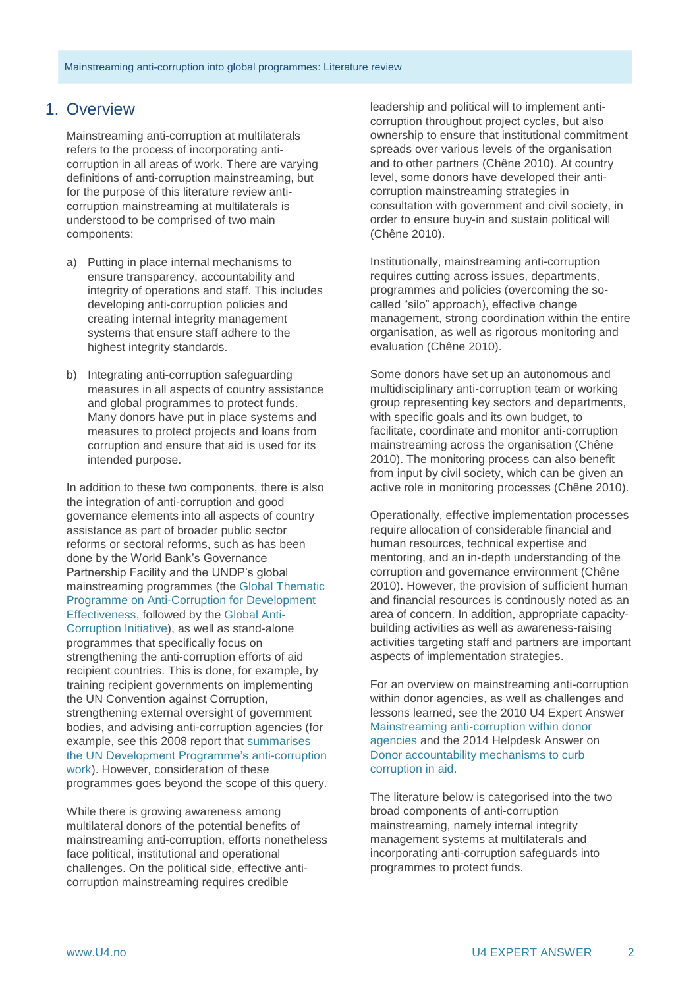## 1. Overview

Mainstreaming anti-corruption at multilaterals refers to the process of incorporating anticorruption in all areas of work. There are varying definitions of anti-corruption mainstreaming, but for the purpose of this literature review anticorruption mainstreaming at multilaterals is understood to be comprised of two main components:

- a) Putting in place internal mechanisms to ensure transparency, accountability and integrity of operations and staff. This includes developing anti-corruption policies and creating internal integrity management systems that ensure staff adhere to the highest integrity standards.
- b) Integrating anti-corruption safeguarding measures in all aspects of country assistance and global programmes to protect funds. Many donors have put in place systems and measures to protect projects and loans from corruption and ensure that aid is used for its intended purpose.

In addition to these two components, there is also the integration of anti-corruption and good governance elements into all aspects of country assistance as part of broader public sector reforms or sectoral reforms, such as has been done by the World Bank's Governance Partnership Facility and the UNDP's global mainstreaming programmes (the [Global Thematic](http://www.undp.org/content/dam/undp/library/Democratic%20Governance/Anti-corruption/f_UNDP-PACDE13_report_Web.pdf)  [Programme on Anti-Corruption for Development](http://www.undp.org/content/dam/undp/library/Democratic%20Governance/Anti-corruption/f_UNDP-PACDE13_report_Web.pdf)  [Effectiveness,](http://www.undp.org/content/dam/undp/library/Democratic%20Governance/Anti-corruption/f_UNDP-PACDE13_report_Web.pdf) followed by the [Global Anti-](http://www.undp.org/content/dam/undp/library/Democratic%20Governance/Anti-corruption/globalanticorruption_final_web2.pdf)[Corruption Initiative\)](http://www.undp.org/content/dam/undp/library/Democratic%20Governance/Anti-corruption/globalanticorruption_final_web2.pdf), as well as stand-alone programmes that specifically focus on strengthening the anti-corruption efforts of aid recipient countries. This is done, for example, by training recipient governments on implementing the UN Convention against Corruption, strengthening external oversight of government bodies, and advising anti-corruption agencies (for example, see this 2008 report that [summarises](http://www.pogar.org/publications/other/undp/governance/mainstream-update-08e.pdf)  the UN [Development Programme's](http://www.pogar.org/publications/other/undp/governance/mainstream-update-08e.pdf) anti-corruption [work\)](http://www.pogar.org/publications/other/undp/governance/mainstream-update-08e.pdf). However, consideration of these programmes goes beyond the scope of this query.

While there is growing awareness among multilateral donors of the potential benefits of mainstreaming anti-corruption, efforts nonetheless face political, institutional and operational challenges. On the political side, effective anticorruption mainstreaming requires credible

leadership and political will to implement anticorruption throughout project cycles, but also ownership to ensure that institutional commitment spreads over various levels of the organisation and to other partners (Chêne 2010). At country level, some donors have developed their anticorruption mainstreaming strategies in consultation with government and civil society, in order to ensure buy-in and sustain political will (Chêne 2010).

Institutionally, mainstreaming anti-corruption requires cutting across issues, departments, programmes and policies (overcoming the socalled "silo" approach), effective change management, strong coordination within the entire organisation, as well as rigorous monitoring and evaluation (Chêne 2010).

Some donors have set up an autonomous and multidisciplinary anti-corruption team or working group representing key sectors and departments, with specific goals and its own budget, to facilitate, coordinate and monitor anti-corruption mainstreaming across the organisation (Chêne 2010). The monitoring process can also benefit from input by civil society, which can be given an active role in monitoring processes (Chêne 2010).

Operationally, effective implementation processes require allocation of considerable financial and human resources, technical expertise and mentoring, and an in-depth understanding of the corruption and governance environment (Chêne 2010). However, the provision of sufficient human and financial resources is continously noted as an area of concern. In addition, appropriate capacitybuilding activities as well as awareness-raising activities targeting staff and partners are important aspects of implementation strategies.

For an overview on mainstreaming anti-corruption within donor agencies, as well as challenges and lessons learned, see the 2010 U4 Expert Answer [Mainstreaming anti-corruption within donor](http://www.u4.no/publications/mainstreaming-anti-corruption-within-donor-agencies/)  [agencies](http://www.u4.no/publications/mainstreaming-anti-corruption-within-donor-agencies/) and the 2014 Helpdesk Answer on [Donor accountability mechanisms to curb](http://www.transparency.org/whatwedo/answer/donor_accountability_mechanisms_to_curb_corruption_in_aid)  [corruption in aid.](http://www.transparency.org/whatwedo/answer/donor_accountability_mechanisms_to_curb_corruption_in_aid)

The literature below is categorised into the two broad components of anti-corruption mainstreaming, namely internal integrity management systems at multilaterals and incorporating anti-corruption safeguards into programmes to protect funds.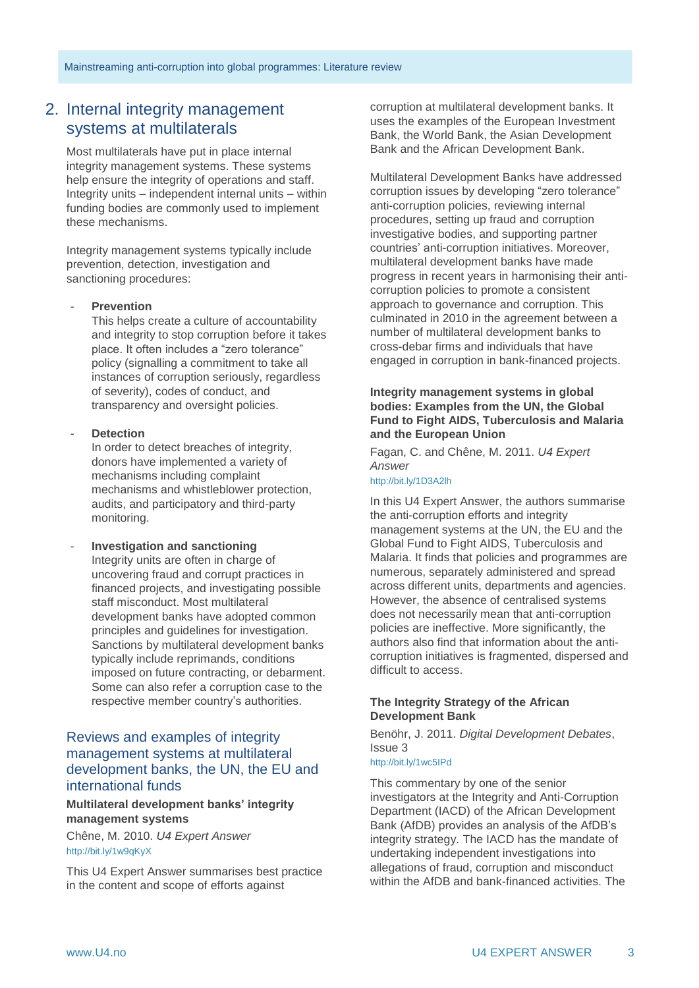## 2. Internal integrity management systems at multilaterals

Most multilaterals have put in place internal integrity management systems. These systems help ensure the integrity of operations and staff. Integrity units – independent internal units – within funding bodies are commonly used to implement these mechanisms.

Integrity management systems typically include prevention, detection, investigation and sanctioning procedures:

#### - **Prevention**

This helps create a culture of accountability and integrity to stop corruption before it takes place. It often includes a "zero tolerance" policy (signalling a commitment to take all instances of corruption seriously, regardless of severity), codes of conduct, and transparency and oversight policies.

#### - **Detection**

In order to detect breaches of integrity, donors have implemented a variety of mechanisms including complaint mechanisms and whistleblower protection, audits, and participatory and third-party monitoring.

#### - **Investigation and sanctioning** Integrity units are often in charge of uncovering fraud and corrupt practices in financed projects, and investigating possible staff misconduct. Most multilateral development banks have adopted common principles and guidelines for investigation. Sanctions by multilateral development banks typically include reprimands, conditions imposed on future contracting, or debarment. Some can also refer a corruption case to the respective member country's authorities.

## Reviews and examples of integrity management systems at multilateral development banks, the UN, the EU and international funds

#### **Multilateral development banks' integrity management systems**

Chêne, M. 2010. *U4 Expert Answer* http://bit.ly/1w9qKyX

This U4 Expert Answer summarises best practice in the content and scope of efforts against

corruption at multilateral development banks. It uses the examples of the European Investment Bank, the World Bank, the Asian Development Bank and the African Development Bank.

Multilateral Development Banks have addressed corruption issues by developing "zero tolerance" anti-corruption policies, reviewing internal procedures, setting up fraud and corruption investigative bodies, and supporting partner countries' anti-corruption initiatives. Moreover, multilateral development banks have made progress in recent years in harmonising their anticorruption policies to promote a consistent approach to governance and corruption. This culminated in 2010 in the agreement between a number of multilateral development banks to cross-debar firms and individuals that have engaged in corruption in bank-financed projects.

#### **Integrity management systems in global bodies: Examples from the UN, the Global Fund to Fight AIDS, Tuberculosis and Malaria and the European Union**

Fagan, C. and Chêne, M. 2011. *U4 Expert Answer*

http://bit.ly/1D3A2lh

In this U4 Expert Answer, the authors summarise the anti-corruption efforts and integrity management systems at the UN, the EU and the Global Fund to Fight AIDS, Tuberculosis and Malaria. It finds that policies and programmes are numerous, separately administered and spread across different units, departments and agencies. However, the absence of centralised systems does not necessarily mean that anti-corruption policies are ineffective. More significantly, the authors also find that information about the anticorruption initiatives is fragmented, dispersed and difficult to access.

#### **The Integrity Strategy of the African Development Bank**

Benöhr, J. 2011. *Digital Development Debates*, Issue 3

### <http://bit.ly/1wc5IPd>

This commentary by one of the senior investigators at the Integrity and Anti-Corruption Department (IACD) of the African Development Bank (AfDB) provides an analysis of the AfDB's integrity strategy. The IACD has the mandate of undertaking independent investigations into allegations of fraud, corruption and misconduct within the AfDB and bank-financed activities. The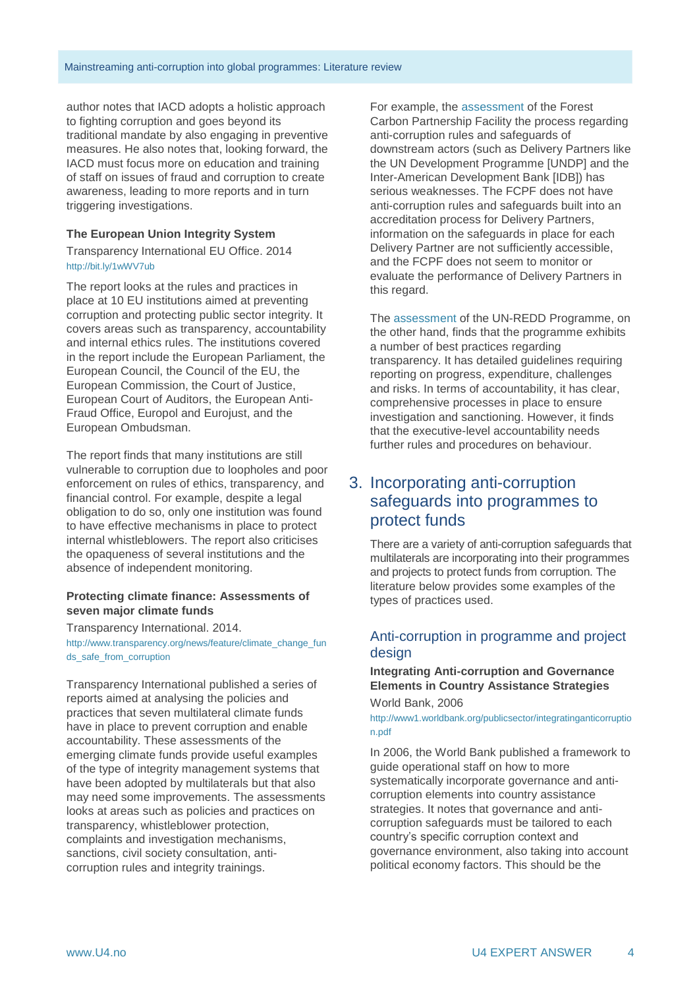author notes that IACD adopts a holistic approach to fighting corruption and goes beyond its traditional mandate by also engaging in preventive measures. He also notes that, looking forward, the IACD must focus more on education and training of staff on issues of fraud and corruption to create awareness, leading to more reports and in turn triggering investigations.

#### **The European Union Integrity System**

Transparency International EU Office. 2014 http://bit.ly/1wWV7ub

The report looks at the rules and practices in place at 10 EU institutions aimed at preventing corruption and protecting public sector integrity. It covers areas such as transparency, accountability and internal ethics rules. The institutions covered in the report include the European Parliament, the European Council, the Council of the EU, the European Commission, the Court of Justice, European Court of Auditors, the European Anti-Fraud Office, Europol and Eurojust, and the European Ombudsman.

The report finds that many institutions are still vulnerable to corruption due to loopholes and poor enforcement on rules of ethics, transparency, and financial control. For example, despite a legal obligation to do so, only one institution was found to have effective mechanisms in place to protect internal whistleblowers. The report also criticises the opaqueness of several institutions and the absence of independent monitoring.

#### **Protecting climate finance: Assessments of seven major climate funds**

Transparency International. 2014. [http://www.transparency.org/news/feature/climate\\_change\\_fun](http://www.transparency.org/news/feature/climate_change_funds_safe_from_corruption) [ds\\_safe\\_from\\_corruption](http://www.transparency.org/news/feature/climate_change_funds_safe_from_corruption)

Transparency International published a series of reports aimed at analysing the policies and practices that seven multilateral climate funds have in place to prevent corruption and enable accountability. These assessments of the emerging climate funds provide useful examples of the type of integrity management systems that have been adopted by multilaterals but that also may need some improvements. The assessments looks at areas such as policies and practices on transparency, whistleblower protection, complaints and investigation mechanisms, sanctions, civil society consultation, anticorruption rules and integrity trainings.

For example, the [assessment](http://www.transparency.org/whatwedo/publication/protecting_climate_finance_an_anti_corruption_assessment_of_the_FCPF) of the Forest Carbon Partnership Facility the process regarding anti-corruption rules and safeguards of downstream actors (such as Delivery Partners like the UN Development Programme [UNDP] and the Inter-American Development Bank [IDB]) has serious weaknesses. The FCPF does not have anti-corruption rules and safeguards built into an accreditation process for Delivery Partners, information on the safeguards in place for each Delivery Partner are not sufficiently accessible, and the FCPF does not seem to monitor or evaluate the performance of Delivery Partners in this regard.

The [assessment](http://www.transparency.org/whatwedo/publication/protecting_climate_finance_un_redd_programme) of the UN-REDD Programme, on the other hand, finds that the programme exhibits a number of best practices regarding transparency. It has detailed guidelines requiring reporting on progress, expenditure, challenges and risks. In terms of accountability, it has clear, comprehensive processes in place to ensure investigation and sanctioning. However, it finds that the executive-level accountability needs further rules and procedures on behaviour.

# 3. Incorporating anti-corruption safeguards into programmes to protect funds

There are a variety of anti-corruption safeguards that multilaterals are incorporating into their programmes and projects to protect funds from corruption. The literature below provides some examples of the types of practices used.

## Anti-corruption in programme and project design

#### **Integrating Anti-corruption and Governance Elements in Country Assistance Strategies**

World Bank, 2006

[http://www1.worldbank.org/publicsector/integratinganticorruptio](http://www1.worldbank.org/publicsector/integratinganticorruption.pdf) [n.pdf](http://www1.worldbank.org/publicsector/integratinganticorruption.pdf)

In 2006, the World Bank published a framework to guide operational staff on how to more systematically incorporate governance and anticorruption elements into country assistance strategies. It notes that governance and anticorruption safeguards must be tailored to each country's specific corruption context and governance environment, also taking into account political economy factors. This should be the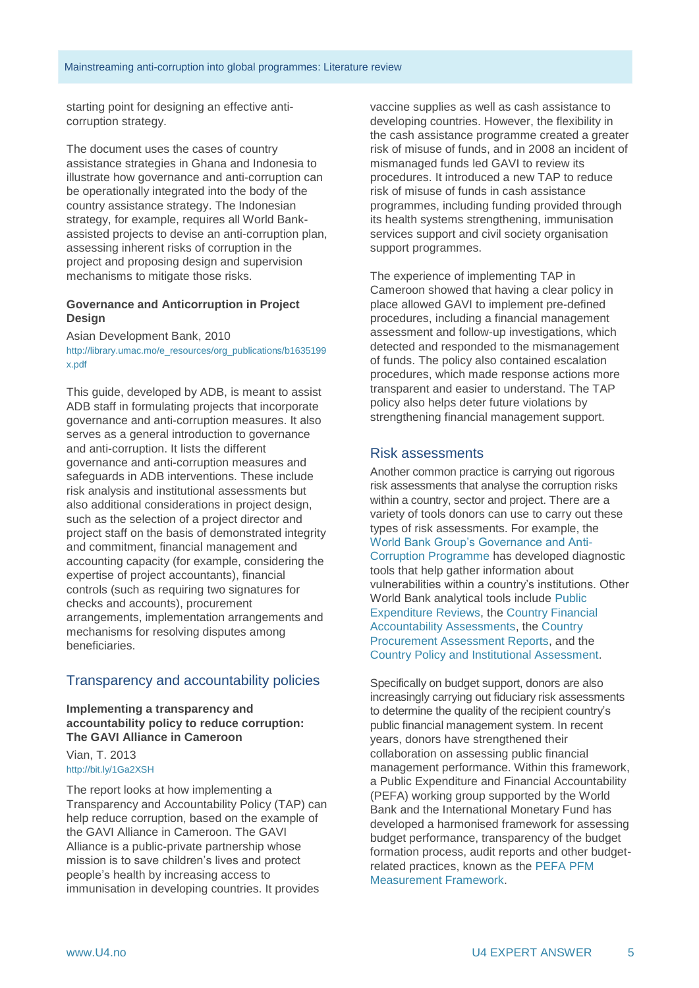starting point for designing an effective anticorruption strategy.

The document uses the cases of country assistance strategies in Ghana and Indonesia to illustrate how governance and anti-corruption can be operationally integrated into the body of the country assistance strategy. The Indonesian strategy, for example, requires all World Bankassisted projects to devise an anti-corruption plan, assessing inherent risks of corruption in the project and proposing design and supervision mechanisms to mitigate those risks.

#### **Governance and Anticorruption in Project Design**

Asian Development Bank, 2010 [http://library.umac.mo/e\\_resources/org\\_publications/b1635199](http://library.umac.mo/e_resources/org_publications/b1635199x.pdf) [x.pdf](http://library.umac.mo/e_resources/org_publications/b1635199x.pdf)

This guide, developed by ADB, is meant to assist ADB staff in formulating projects that incorporate governance and anti-corruption measures. It also serves as a general introduction to governance and anti-corruption. It lists the different governance and anti-corruption measures and safeguards in ADB interventions. These include risk analysis and institutional assessments but also additional considerations in project design, such as the selection of a project director and project staff on the basis of demonstrated integrity and commitment, financial management and accounting capacity (for example, considering the expertise of project accountants), financial controls (such as requiring two signatures for checks and accounts), procurement arrangements, implementation arrangements and mechanisms for resolving disputes among beneficiaries.

## Transparency and accountability policies

**Implementing a transparency and accountability policy to reduce corruption: The GAVI Alliance in Cameroon**

Vian, T. 2013 http://bit.ly/1Ga2XSH

The report looks at how implementing a Transparency and Accountability Policy (TAP) can help reduce corruption, based on the example of the GAVI Alliance in Cameroon. The GAVI Alliance is a public-private partnership whose mission is to save children's lives and protect people's health by increasing access to immunisation in developing countries. It provides

vaccine supplies as well as cash assistance to developing countries. However, the flexibility in the cash assistance programme created a greater risk of misuse of funds, and in 2008 an incident of mismanaged funds led GAVI to review its procedures. It introduced a new TAP to reduce risk of misuse of funds in cash assistance programmes, including funding provided through its health systems strengthening, immunisation services support and civil society organisation support programmes.

The experience of implementing TAP in Cameroon showed that having a clear policy in place allowed GAVI to implement pre-defined procedures, including a financial management assessment and follow-up investigations, which detected and responded to the mismanagement of funds. The policy also contained escalation procedures, which made response actions more transparent and easier to understand. The TAP policy also helps deter future violations by strengthening financial management support.

## Risk assessments

Another common practice is carrying out rigorous risk assessments that analyse the corruption risks within a country, sector and project. There are a variety of tools donors can use to carry out these types of risk assessments. For example, the [World Bank Group's Governance and Anti-](http://web.worldbank.org/WBSITE/EXTERNAL/WBI/EXTWBIGOVANTCOR/0,,contentMDK:20672505~menuPK:1740556~pagePK:64168445~piPK:64168309~theSitePK:1740530,00.html)[Corruption Programme](http://web.worldbank.org/WBSITE/EXTERNAL/WBI/EXTWBIGOVANTCOR/0,,contentMDK:20672505~menuPK:1740556~pagePK:64168445~piPK:64168309~theSitePK:1740530,00.html) has developed diagnostic tools that help gather information about vulnerabilities within a country's institutions. Other World Bank analytical tools include [Public](http://web.worldbank.org/WBSITE/EXTERNAL/EXTABOUTUS/ORGANIZATION/EXTHDNETWORK/EXTHDOFFICE/0,,contentMDK:22285532~menuPK:6375885~pagePK:64168445~piPK:64168309~theSitePK:5485727,00.html)  [Expenditure Reviews,](http://web.worldbank.org/WBSITE/EXTERNAL/EXTABOUTUS/ORGANIZATION/EXTHDNETWORK/EXTHDOFFICE/0,,contentMDK:22285532~menuPK:6375885~pagePK:64168445~piPK:64168309~theSitePK:5485727,00.html) the [Country Financial](http://web.worldbank.org/WBSITE/EXTERNAL/PROJECTS/EXTFINANCIALMGMT/0,,contentMDK:21388739~menuPK:3914288~pagePK:210058~piPK:210062~theSitePK:313218,00.html)  [Accountability Assessments,](http://web.worldbank.org/WBSITE/EXTERNAL/PROJECTS/EXTFINANCIALMGMT/0,,contentMDK:21388739~menuPK:3914288~pagePK:210058~piPK:210062~theSitePK:313218,00.html) the [Country](http://web.worldbank.org/WBSITE/EXTERNAL/PROJECTS/PROCUREMENT/0,,contentMDK:20108359~menuPK:84285~pagePK:84269~piPK:60001558~theSitePK:84266,00.html)  [Procurement Assessment Reports,](http://web.worldbank.org/WBSITE/EXTERNAL/PROJECTS/PROCUREMENT/0,,contentMDK:20108359~menuPK:84285~pagePK:84269~piPK:60001558~theSitePK:84266,00.html) and the [Country Policy and Institutional Assessment.](http://web.worldbank.org/WBSITE/EXTERNAL/EXTABOUTUS/IDA/0,,contentMDK:21378540~menuPK:2626968~pagePK:51236175~piPK:437394~theSitePK:73154,00.html)

Specifically on budget support, donors are also increasingly carrying out fiduciary risk assessments to determine the quality of the recipient country's public financial management system. In recent years, donors have strengthened their collaboration on assessing public financial management performance. Within this framework, a Public Expenditure and Financial Accountability (PEFA) working group supported by the World Bank and the International Monetary Fund has developed a harmonised framework for assessing budget performance, transparency of the budget formation process, audit reports and other budgetrelated practices, known as the [PEFA PFM](https://www.pefa.org/)  [Measurement Framework.](https://www.pefa.org/)